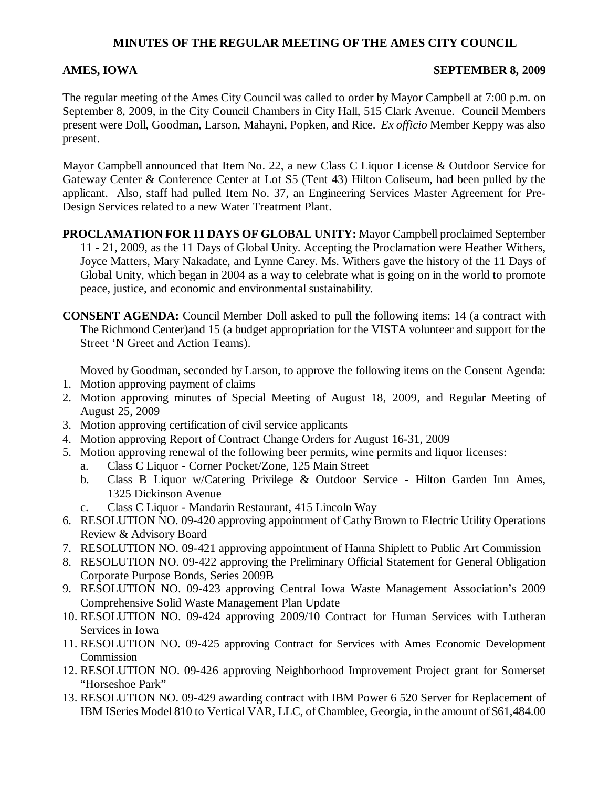## **MINUTES OF THE REGULAR MEETING OF THE AMES CITY COUNCIL**

### **AMES, IOWA SEPTEMBER 8, 2009**

The regular meeting of the Ames City Council was called to order by Mayor Campbell at 7:00 p.m. on September 8, 2009, in the City Council Chambers in City Hall, 515 Clark Avenue. Council Members present were Doll, Goodman, Larson, Mahayni, Popken, and Rice. *Ex officio* Member Keppy was also present.

Mayor Campbell announced that Item No. 22, a new Class C Liquor License & Outdoor Service for Gateway Center & Conference Center at Lot S5 (Tent 43) Hilton Coliseum, had been pulled by the applicant. Also, staff had pulled Item No. 37, an Engineering Services Master Agreement for Pre-Design Services related to a new Water Treatment Plant.

- **PROCLAMATION FOR 11 DAYS OF GLOBAL UNITY:** Mayor Campbell proclaimed September 11 - 21, 2009, as the 11 Days of Global Unity. Accepting the Proclamation were Heather Withers, Joyce Matters, Mary Nakadate, and Lynne Carey. Ms. Withers gave the history of the 11 Days of Global Unity, which began in 2004 as a way to celebrate what is going on in the world to promote peace, justice, and economic and environmental sustainability.
- **CONSENT AGENDA:** Council Member Doll asked to pull the following items: 14 (a contract with The Richmond Center)and 15 (a budget appropriation for the VISTA volunteer and support for the Street 'N Greet and Action Teams).

Moved by Goodman, seconded by Larson, to approve the following items on the Consent Agenda:

- 1. Motion approving payment of claims
- 2. Motion approving minutes of Special Meeting of August 18, 2009, and Regular Meeting of August 25, 2009
- 3. Motion approving certification of civil service applicants
- 4. Motion approving Report of Contract Change Orders for August 16-31, 2009
- 5. Motion approving renewal of the following beer permits, wine permits and liquor licenses:
	- a. Class C Liquor Corner Pocket/Zone, 125 Main Street
	- b. Class B Liquor w/Catering Privilege & Outdoor Service Hilton Garden Inn Ames, 1325 Dickinson Avenue
	- c. Class C Liquor Mandarin Restaurant, 415 Lincoln Way
- 6. RESOLUTION NO. 09-420 approving appointment of Cathy Brown to Electric Utility Operations Review & Advisory Board
- 7. RESOLUTION NO. 09-421 approving appointment of Hanna Shiplett to Public Art Commission
- 8. RESOLUTION NO. 09-422 approving the Preliminary Official Statement for General Obligation Corporate Purpose Bonds, Series 2009B
- 9. RESOLUTION NO. 09-423 approving Central Iowa Waste Management Association's 2009 Comprehensive Solid Waste Management Plan Update
- 10. RESOLUTION NO. 09-424 approving 2009/10 Contract for Human Services with Lutheran Services in Iowa
- 11. RESOLUTION NO. 09-425 approving Contract for Services with Ames Economic Development Commission
- 12. RESOLUTION NO. 09-426 approving Neighborhood Improvement Project grant for Somerset "Horseshoe Park"
- 13. RESOLUTION NO. 09-429 awarding contract with IBM Power 6 520 Server for Replacement of IBM ISeries Model 810 to Vertical VAR, LLC, of Chamblee, Georgia, in the amount of \$61,484.00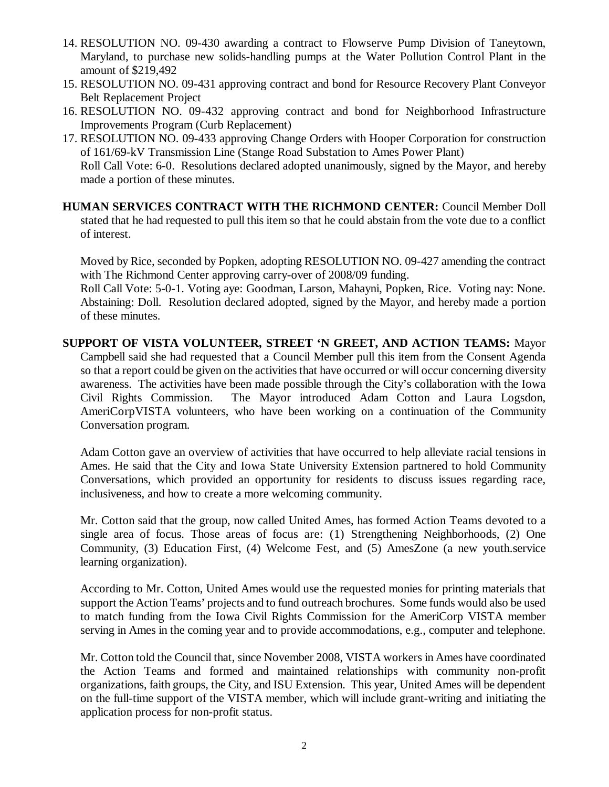- 14. RESOLUTION NO. 09-430 awarding a contract to Flowserve Pump Division of Taneytown, Maryland, to purchase new solids-handling pumps at the Water Pollution Control Plant in the amount of \$219,492
- 15. RESOLUTION NO. 09-431 approving contract and bond for Resource Recovery Plant Conveyor Belt Replacement Project
- 16. RESOLUTION NO. 09-432 approving contract and bond for Neighborhood Infrastructure Improvements Program (Curb Replacement)
- 17. RESOLUTION NO. 09-433 approving Change Orders with Hooper Corporation for construction of 161/69-kV Transmission Line (Stange Road Substation to Ames Power Plant) Roll Call Vote: 6-0. Resolutions declared adopted unanimously, signed by the Mayor, and hereby made a portion of these minutes.
- **HUMAN SERVICES CONTRACT WITH THE RICHMOND CENTER:** Council Member Doll stated that he had requested to pull this item so that he could abstain from the vote due to a conflict of interest.

Moved by Rice, seconded by Popken, adopting RESOLUTION NO. 09-427 amending the contract with The Richmond Center approving carry-over of 2008/09 funding.

Roll Call Vote: 5-0-1. Voting aye: Goodman, Larson, Mahayni, Popken, Rice. Voting nay: None. Abstaining: Doll. Resolution declared adopted, signed by the Mayor, and hereby made a portion of these minutes.

**SUPPORT OF VISTA VOLUNTEER, STREET 'N GREET, AND ACTION TEAMS:** Mayor Campbell said she had requested that a Council Member pull this item from the Consent Agenda so that a report could be given on the activities that have occurred or will occur concerning diversity awareness. The activities have been made possible through the City's collaboration with the Iowa Civil Rights Commission. The Mayor introduced Adam Cotton and Laura Logsdon, AmeriCorpVISTA volunteers, who have been working on a continuation of the Community Conversation program.

Adam Cotton gave an overview of activities that have occurred to help alleviate racial tensions in Ames. He said that the City and Iowa State University Extension partnered to hold Community Conversations, which provided an opportunity for residents to discuss issues regarding race, inclusiveness, and how to create a more welcoming community.

Mr. Cotton said that the group, now called United Ames, has formed Action Teams devoted to a single area of focus. Those areas of focus are: (1) Strengthening Neighborhoods, (2) One Community, (3) Education First, (4) Welcome Fest, and (5) AmesZone (a new youth.service learning organization).

According to Mr. Cotton, United Ames would use the requested monies for printing materials that support the Action Teams' projects and to fund outreach brochures. Some funds would also be used to match funding from the Iowa Civil Rights Commission for the AmeriCorp VISTA member serving in Ames in the coming year and to provide accommodations, e.g., computer and telephone.

Mr. Cotton told the Council that, since November 2008, VISTA workers in Ames have coordinated the Action Teams and formed and maintained relationships with community non-profit organizations, faith groups, the City, and ISU Extension. This year, United Ames will be dependent on the full-time support of the VISTA member, which will include grant-writing and initiating the application process for non-profit status.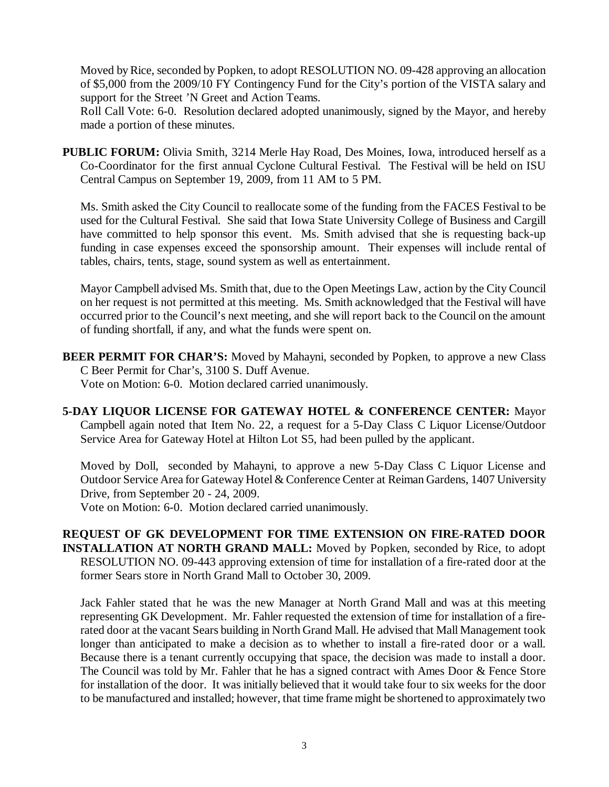Moved by Rice, seconded by Popken, to adopt RESOLUTION NO. 09-428 approving an allocation of \$5,000 from the 2009/10 FY Contingency Fund for the City's portion of the VISTA salary and support for the Street 'N Greet and Action Teams.

Roll Call Vote: 6-0. Resolution declared adopted unanimously, signed by the Mayor, and hereby made a portion of these minutes.

**PUBLIC FORUM:** Olivia Smith, 3214 Merle Hay Road, Des Moines, Iowa, introduced herself as a Co-Coordinator for the first annual Cyclone Cultural Festival. The Festival will be held on ISU Central Campus on September 19, 2009, from 11 AM to 5 PM.

Ms. Smith asked the City Council to reallocate some of the funding from the FACES Festival to be used for the Cultural Festival. She said that Iowa State University College of Business and Cargill have committed to help sponsor this event. Ms. Smith advised that she is requesting back-up funding in case expenses exceed the sponsorship amount. Their expenses will include rental of tables, chairs, tents, stage, sound system as well as entertainment.

Mayor Campbell advised Ms. Smith that, due to the Open Meetings Law, action by the City Council on her request is not permitted at this meeting. Ms. Smith acknowledged that the Festival will have occurred prior to the Council's next meeting, and she will report back to the Council on the amount of funding shortfall, if any, and what the funds were spent on.

- **BEER PERMIT FOR CHAR'S:** Moved by Mahayni, seconded by Popken, to approve a new Class C Beer Permit for Char's, 3100 S. Duff Avenue. Vote on Motion: 6-0. Motion declared carried unanimously.
- **5-DAY LIQUOR LICENSE FOR GATEWAY HOTEL & CONFERENCE CENTER:** Mayor Campbell again noted that Item No. 22, a request for a 5-Day Class C Liquor License/Outdoor Service Area for Gateway Hotel at Hilton Lot S5, had been pulled by the applicant.

Moved by Doll, seconded by Mahayni, to approve a new 5-Day Class C Liquor License and Outdoor Service Area for Gateway Hotel & Conference Center at Reiman Gardens, 1407 University Drive, from September 20 - 24, 2009.

Vote on Motion: 6-0. Motion declared carried unanimously.

**REQUEST OF GK DEVELOPMENT FOR TIME EXTENSION ON FIRE-RATED DOOR INSTALLATION AT NORTH GRAND MALL:** Moved by Popken, seconded by Rice, to adopt RESOLUTION NO. 09-443 approving extension of time for installation of a fire-rated door at the former Sears store in North Grand Mall to October 30, 2009.

Jack Fahler stated that he was the new Manager at North Grand Mall and was at this meeting representing GK Development. Mr. Fahler requested the extension of time for installation of a firerated door at the vacant Sears building in North Grand Mall. He advised that Mall Management took longer than anticipated to make a decision as to whether to install a fire-rated door or a wall. Because there is a tenant currently occupying that space, the decision was made to install a door. The Council was told by Mr. Fahler that he has a signed contract with Ames Door & Fence Store for installation of the door. It was initially believed that it would take four to six weeks for the door to be manufactured and installed; however, that time frame might be shortened to approximately two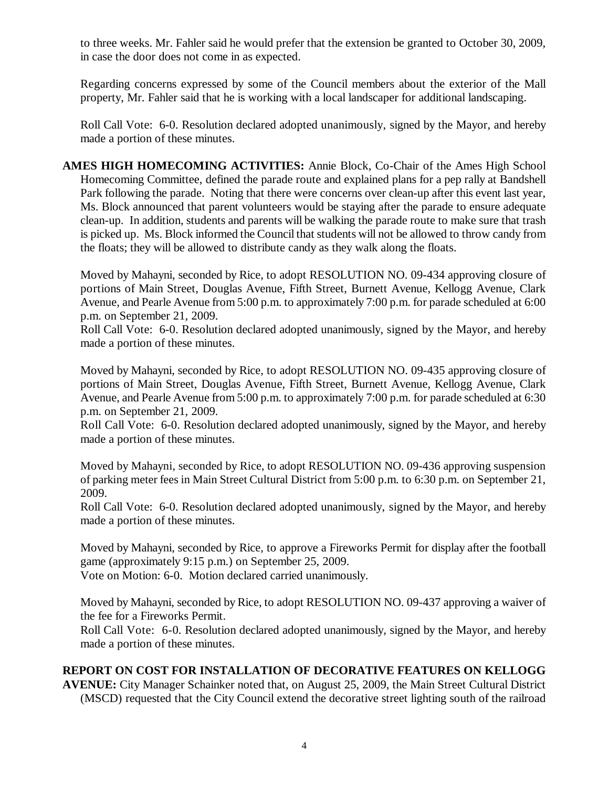to three weeks. Mr. Fahler said he would prefer that the extension be granted to October 30, 2009, in case the door does not come in as expected.

Regarding concerns expressed by some of the Council members about the exterior of the Mall property, Mr. Fahler said that he is working with a local landscaper for additional landscaping.

Roll Call Vote: 6-0. Resolution declared adopted unanimously, signed by the Mayor, and hereby made a portion of these minutes.

**AMES HIGH HOMECOMING ACTIVITIES:** Annie Block, Co-Chair of the Ames High School Homecoming Committee, defined the parade route and explained plans for a pep rally at Bandshell Park following the parade. Noting that there were concerns over clean-up after this event last year, Ms. Block announced that parent volunteers would be staying after the parade to ensure adequate clean-up. In addition, students and parents will be walking the parade route to make sure that trash is picked up. Ms. Block informed the Council that students will not be allowed to throw candy from the floats; they will be allowed to distribute candy as they walk along the floats.

Moved by Mahayni, seconded by Rice, to adopt RESOLUTION NO. 09-434 approving closure of portions of Main Street, Douglas Avenue, Fifth Street, Burnett Avenue, Kellogg Avenue, Clark Avenue, and Pearle Avenue from 5:00 p.m. to approximately 7:00 p.m. for parade scheduled at 6:00 p.m. on September 21, 2009.

Roll Call Vote: 6-0. Resolution declared adopted unanimously, signed by the Mayor, and hereby made a portion of these minutes.

Moved by Mahayni, seconded by Rice, to adopt RESOLUTION NO. 09-435 approving closure of portions of Main Street, Douglas Avenue, Fifth Street, Burnett Avenue, Kellogg Avenue, Clark Avenue, and Pearle Avenue from 5:00 p.m. to approximately 7:00 p.m. for parade scheduled at 6:30 p.m. on September 21, 2009.

Roll Call Vote: 6-0. Resolution declared adopted unanimously, signed by the Mayor, and hereby made a portion of these minutes.

Moved by Mahayni, seconded by Rice, to adopt RESOLUTION NO. 09-436 approving suspension of parking meter fees in Main Street Cultural District from 5:00 p.m. to 6:30 p.m. on September 21, 2009.

Roll Call Vote: 6-0. Resolution declared adopted unanimously, signed by the Mayor, and hereby made a portion of these minutes.

Moved by Mahayni, seconded by Rice, to approve a Fireworks Permit for display after the football game (approximately 9:15 p.m.) on September 25, 2009.

Vote on Motion: 6-0. Motion declared carried unanimously.

Moved by Mahayni, seconded by Rice, to adopt RESOLUTION NO. 09-437 approving a waiver of the fee for a Fireworks Permit.

Roll Call Vote: 6-0. Resolution declared adopted unanimously, signed by the Mayor, and hereby made a portion of these minutes.

# **REPORT ON COST FOR INSTALLATION OF DECORATIVE FEATURES ON KELLOGG**

**AVENUE:** City Manager Schainker noted that, on August 25, 2009, the Main Street Cultural District (MSCD) requested that the City Council extend the decorative street lighting south of the railroad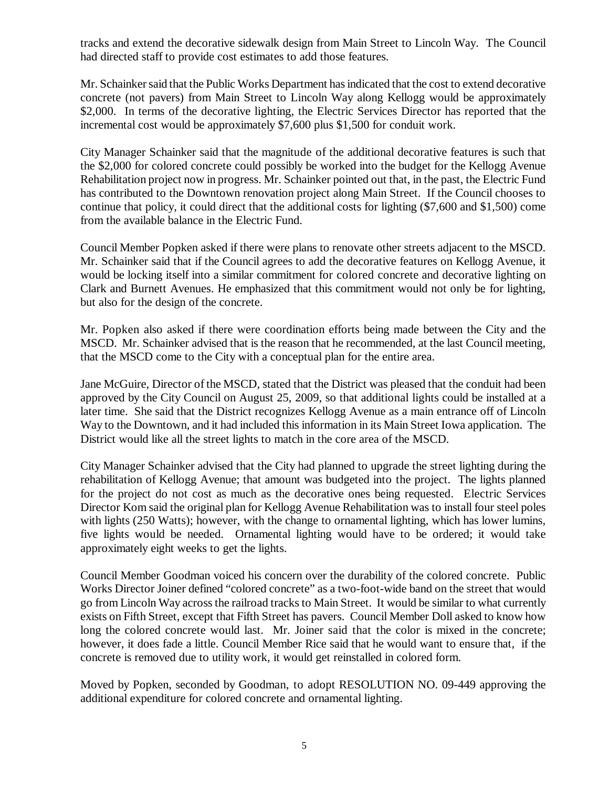tracks and extend the decorative sidewalk design from Main Street to Lincoln Way. The Council had directed staff to provide cost estimates to add those features.

Mr. Schainker said that the Public Works Department has indicated that the cost to extend decorative concrete (not pavers) from Main Street to Lincoln Way along Kellogg would be approximately \$2,000. In terms of the decorative lighting, the Electric Services Director has reported that the incremental cost would be approximately \$7,600 plus \$1,500 for conduit work.

City Manager Schainker said that the magnitude of the additional decorative features is such that the \$2,000 for colored concrete could possibly be worked into the budget for the Kellogg Avenue Rehabilitation project now in progress. Mr. Schainker pointed out that, in the past, the Electric Fund has contributed to the Downtown renovation project along Main Street. If the Council chooses to continue that policy, it could direct that the additional costs for lighting (\$7,600 and \$1,500) come from the available balance in the Electric Fund.

Council Member Popken asked if there were plans to renovate other streets adjacent to the MSCD. Mr. Schainker said that if the Council agrees to add the decorative features on Kellogg Avenue, it would be locking itself into a similar commitment for colored concrete and decorative lighting on Clark and Burnett Avenues. He emphasized that this commitment would not only be for lighting, but also for the design of the concrete.

Mr. Popken also asked if there were coordination efforts being made between the City and the MSCD. Mr. Schainker advised that is the reason that he recommended, at the last Council meeting, that the MSCD come to the City with a conceptual plan for the entire area.

Jane McGuire, Director of the MSCD, stated that the District was pleased that the conduit had been approved by the City Council on August 25, 2009, so that additional lights could be installed at a later time. She said that the District recognizes Kellogg Avenue as a main entrance off of Lincoln Way to the Downtown, and it had included this information in its Main Street Iowa application. The District would like all the street lights to match in the core area of the MSCD.

City Manager Schainker advised that the City had planned to upgrade the street lighting during the rehabilitation of Kellogg Avenue; that amount was budgeted into the project. The lights planned for the project do not cost as much as the decorative ones being requested. Electric Services Director Kom said the original plan for Kellogg Avenue Rehabilitation was to install four steel poles with lights (250 Watts); however, with the change to ornamental lighting, which has lower lumins, five lights would be needed. Ornamental lighting would have to be ordered; it would take approximately eight weeks to get the lights.

Council Member Goodman voiced his concern over the durability of the colored concrete. Public Works Director Joiner defined "colored concrete" as a two-foot-wide band on the street that would go from Lincoln Way across the railroad tracks to Main Street. It would be similar to what currently exists on Fifth Street, except that Fifth Street has pavers. Council Member Doll asked to know how long the colored concrete would last. Mr. Joiner said that the color is mixed in the concrete; however, it does fade a little. Council Member Rice said that he would want to ensure that, if the concrete is removed due to utility work, it would get reinstalled in colored form.

Moved by Popken, seconded by Goodman, to adopt RESOLUTION NO. 09-449 approving the additional expenditure for colored concrete and ornamental lighting.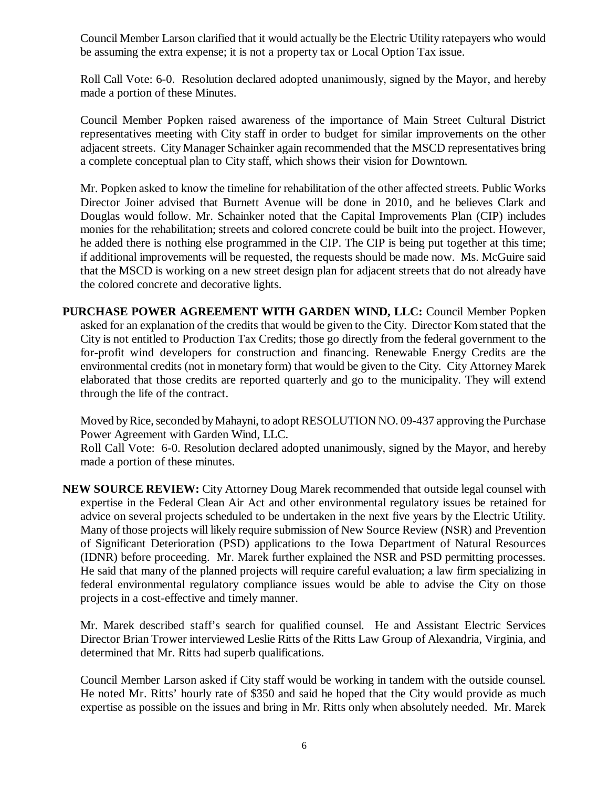Council Member Larson clarified that it would actually be the Electric Utility ratepayers who would be assuming the extra expense; it is not a property tax or Local Option Tax issue.

Roll Call Vote: 6-0. Resolution declared adopted unanimously, signed by the Mayor, and hereby made a portion of these Minutes.

Council Member Popken raised awareness of the importance of Main Street Cultural District representatives meeting with City staff in order to budget for similar improvements on the other adjacent streets. City Manager Schainker again recommended that the MSCD representatives bring a complete conceptual plan to City staff, which shows their vision for Downtown.

Mr. Popken asked to know the timeline for rehabilitation of the other affected streets. Public Works Director Joiner advised that Burnett Avenue will be done in 2010, and he believes Clark and Douglas would follow. Mr. Schainker noted that the Capital Improvements Plan (CIP) includes monies for the rehabilitation; streets and colored concrete could be built into the project. However, he added there is nothing else programmed in the CIP. The CIP is being put together at this time; if additional improvements will be requested, the requests should be made now. Ms. McGuire said that the MSCD is working on a new street design plan for adjacent streets that do not already have the colored concrete and decorative lights.

**PURCHASE POWER AGREEMENT WITH GARDEN WIND, LLC:** Council Member Popken asked for an explanation of the credits that would be given to the City. Director Kom stated that the City is not entitled to Production Tax Credits; those go directly from the federal government to the for-profit wind developers for construction and financing. Renewable Energy Credits are the environmental credits (not in monetary form) that would be given to the City. City Attorney Marek elaborated that those credits are reported quarterly and go to the municipality. They will extend through the life of the contract.

Moved by Rice, seconded by Mahayni, to adopt RESOLUTION NO. 09-437 approving the Purchase Power Agreement with Garden Wind, LLC.

Roll Call Vote: 6-0. Resolution declared adopted unanimously, signed by the Mayor, and hereby made a portion of these minutes.

**NEW SOURCE REVIEW:** City Attorney Doug Marek recommended that outside legal counsel with expertise in the Federal Clean Air Act and other environmental regulatory issues be retained for advice on several projects scheduled to be undertaken in the next five years by the Electric Utility. Many of those projects will likely require submission of New Source Review (NSR) and Prevention of Significant Deterioration (PSD) applications to the Iowa Department of Natural Resources (IDNR) before proceeding. Mr. Marek further explained the NSR and PSD permitting processes. He said that many of the planned projects will require careful evaluation; a law firm specializing in federal environmental regulatory compliance issues would be able to advise the City on those projects in a cost-effective and timely manner.

Mr. Marek described staff's search for qualified counsel. He and Assistant Electric Services Director Brian Trower interviewed Leslie Ritts of the Ritts Law Group of Alexandria, Virginia, and determined that Mr. Ritts had superb qualifications.

Council Member Larson asked if City staff would be working in tandem with the outside counsel. He noted Mr. Ritts' hourly rate of \$350 and said he hoped that the City would provide as much expertise as possible on the issues and bring in Mr. Ritts only when absolutely needed. Mr. Marek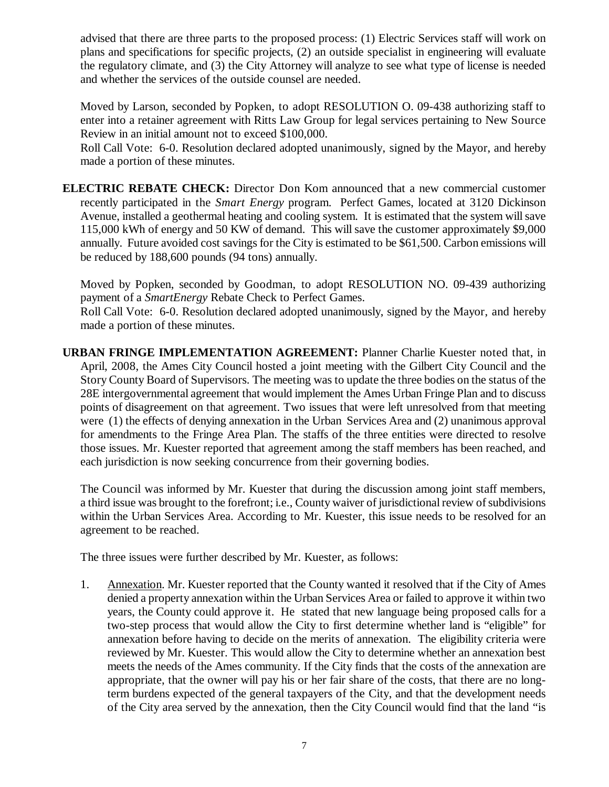advised that there are three parts to the proposed process: (1) Electric Services staff will work on plans and specifications for specific projects, (2) an outside specialist in engineering will evaluate the regulatory climate, and (3) the City Attorney will analyze to see what type of license is needed and whether the services of the outside counsel are needed.

Moved by Larson, seconded by Popken, to adopt RESOLUTION O. 09-438 authorizing staff to enter into a retainer agreement with Ritts Law Group for legal services pertaining to New Source Review in an initial amount not to exceed \$100,000.

Roll Call Vote: 6-0. Resolution declared adopted unanimously, signed by the Mayor, and hereby made a portion of these minutes.

**ELECTRIC REBATE CHECK:** Director Don Kom announced that a new commercial customer recently participated in the *Smart Energy* program. Perfect Games, located at 3120 Dickinson Avenue, installed a geothermal heating and cooling system. It is estimated that the system will save 115,000 kWh of energy and 50 KW of demand. This will save the customer approximately \$9,000 annually. Future avoided cost savings for the City is estimated to be \$61,500. Carbon emissions will be reduced by 188,600 pounds (94 tons) annually.

Moved by Popken, seconded by Goodman, to adopt RESOLUTION NO. 09-439 authorizing payment of a *SmartEnergy* Rebate Check to Perfect Games.

Roll Call Vote: 6-0. Resolution declared adopted unanimously, signed by the Mayor, and hereby made a portion of these minutes.

**URBAN FRINGE IMPLEMENTATION AGREEMENT:** Planner Charlie Kuester noted that, in April, 2008, the Ames City Council hosted a joint meeting with the Gilbert City Council and the Story County Board of Supervisors. The meeting was to update the three bodies on the status of the 28E intergovernmental agreement that would implement the Ames Urban Fringe Plan and to discuss points of disagreement on that agreement. Two issues that were left unresolved from that meeting were (1) the effects of denying annexation in the Urban Services Area and (2) unanimous approval for amendments to the Fringe Area Plan. The staffs of the three entities were directed to resolve those issues. Mr. Kuester reported that agreement among the staff members has been reached, and each jurisdiction is now seeking concurrence from their governing bodies.

The Council was informed by Mr. Kuester that during the discussion among joint staff members, a third issue was brought to the forefront; i.e., County waiver of jurisdictional review of subdivisions within the Urban Services Area. According to Mr. Kuester, this issue needs to be resolved for an agreement to be reached.

The three issues were further described by Mr. Kuester, as follows:

1. Annexation. Mr. Kuester reported that the County wanted it resolved that if the City of Ames denied a property annexation within the Urban Services Area or failed to approve it within two years, the County could approve it. He stated that new language being proposed calls for a two-step process that would allow the City to first determine whether land is "eligible" for annexation before having to decide on the merits of annexation. The eligibility criteria were reviewed by Mr. Kuester. This would allow the City to determine whether an annexation best meets the needs of the Ames community. If the City finds that the costs of the annexation are appropriate, that the owner will pay his or her fair share of the costs, that there are no longterm burdens expected of the general taxpayers of the City, and that the development needs of the City area served by the annexation, then the City Council would find that the land "is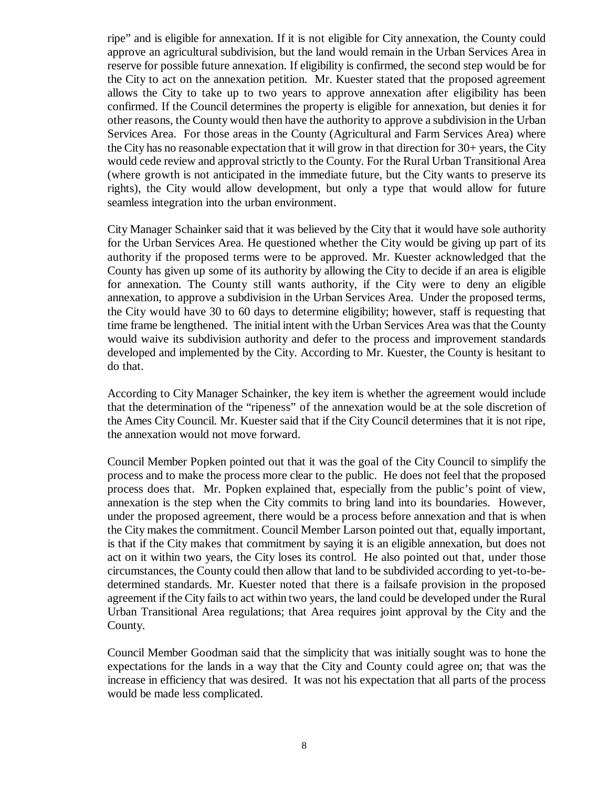ripe" and is eligible for annexation. If it is not eligible for City annexation, the County could approve an agricultural subdivision, but the land would remain in the Urban Services Area in reserve for possible future annexation. If eligibility is confirmed, the second step would be for the City to act on the annexation petition. Mr. Kuester stated that the proposed agreement allows the City to take up to two years to approve annexation after eligibility has been confirmed. If the Council determines the property is eligible for annexation, but denies it for other reasons, the County would then have the authority to approve a subdivision in the Urban Services Area. For those areas in the County (Agricultural and Farm Services Area) where the City has no reasonable expectation that it will grow in that direction for 30+ years, the City would cede review and approval strictly to the County. For the Rural Urban Transitional Area (where growth is not anticipated in the immediate future, but the City wants to preserve its rights), the City would allow development, but only a type that would allow for future seamless integration into the urban environment.

City Manager Schainker said that it was believed by the City that it would have sole authority for the Urban Services Area. He questioned whether the City would be giving up part of its authority if the proposed terms were to be approved. Mr. Kuester acknowledged that the County has given up some of its authority by allowing the City to decide if an area is eligible for annexation. The County still wants authority, if the City were to deny an eligible annexation, to approve a subdivision in the Urban Services Area. Under the proposed terms, the City would have 30 to 60 days to determine eligibility; however, staff is requesting that time frame be lengthened. The initial intent with the Urban Services Area was that the County would waive its subdivision authority and defer to the process and improvement standards developed and implemented by the City. According to Mr. Kuester, the County is hesitant to do that.

According to City Manager Schainker, the key item is whether the agreement would include that the determination of the "ripeness" of the annexation would be at the sole discretion of the Ames City Council. Mr. Kuester said that if the City Council determines that it is not ripe, the annexation would not move forward.

Council Member Popken pointed out that it was the goal of the City Council to simplify the process and to make the process more clear to the public. He does not feel that the proposed process does that. Mr. Popken explained that, especially from the public's point of view, annexation is the step when the City commits to bring land into its boundaries. However, under the proposed agreement, there would be a process before annexation and that is when the City makes the commitment. Council Member Larson pointed out that, equally important, is that if the City makes that commitment by saying it is an eligible annexation, but does not act on it within two years, the City loses its control. He also pointed out that, under those circumstances, the County could then allow that land to be subdivided according to yet-to-bedetermined standards. Mr. Kuester noted that there is a failsafe provision in the proposed agreement if the City fails to act within two years, the land could be developed under the Rural Urban Transitional Area regulations; that Area requires joint approval by the City and the County.

Council Member Goodman said that the simplicity that was initially sought was to hone the expectations for the lands in a way that the City and County could agree on; that was the increase in efficiency that was desired. It was not his expectation that all parts of the process would be made less complicated.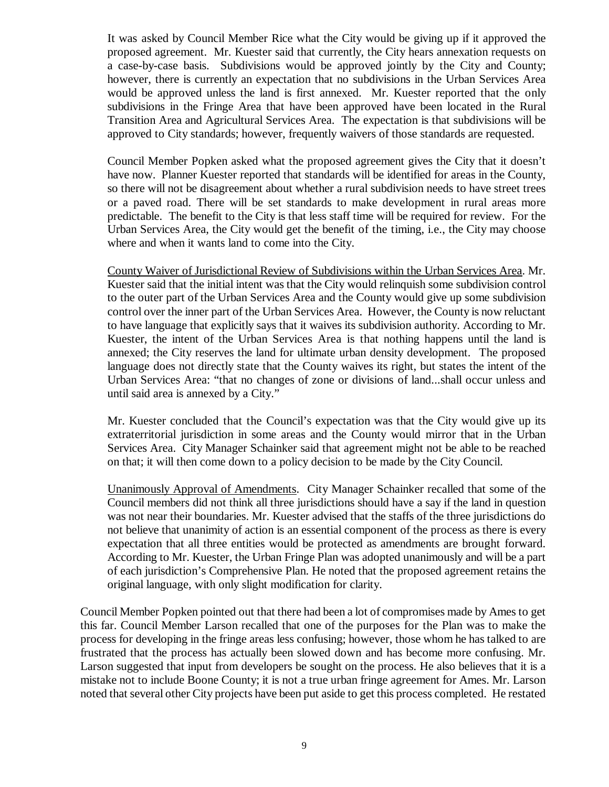It was asked by Council Member Rice what the City would be giving up if it approved the proposed agreement. Mr. Kuester said that currently, the City hears annexation requests on a case-by-case basis. Subdivisions would be approved jointly by the City and County; however, there is currently an expectation that no subdivisions in the Urban Services Area would be approved unless the land is first annexed. Mr. Kuester reported that the only subdivisions in the Fringe Area that have been approved have been located in the Rural Transition Area and Agricultural Services Area. The expectation is that subdivisions will be approved to City standards; however, frequently waivers of those standards are requested.

Council Member Popken asked what the proposed agreement gives the City that it doesn't have now. Planner Kuester reported that standards will be identified for areas in the County, so there will not be disagreement about whether a rural subdivision needs to have street trees or a paved road. There will be set standards to make development in rural areas more predictable. The benefit to the City is that less staff time will be required for review. For the Urban Services Area, the City would get the benefit of the timing, i.e., the City may choose where and when it wants land to come into the City.

County Waiver of Jurisdictional Review of Subdivisions within the Urban Services Area. Mr. Kuester said that the initial intent was that the City would relinquish some subdivision control to the outer part of the Urban Services Area and the County would give up some subdivision control over the inner part of the Urban Services Area. However, the County is now reluctant to have language that explicitly says that it waives its subdivision authority. According to Mr. Kuester, the intent of the Urban Services Area is that nothing happens until the land is annexed; the City reserves the land for ultimate urban density development. The proposed language does not directly state that the County waives its right, but states the intent of the Urban Services Area: "that no changes of zone or divisions of land...shall occur unless and until said area is annexed by a City."

Mr. Kuester concluded that the Council's expectation was that the City would give up its extraterritorial jurisdiction in some areas and the County would mirror that in the Urban Services Area. City Manager Schainker said that agreement might not be able to be reached on that; it will then come down to a policy decision to be made by the City Council.

Unanimously Approval of Amendments. City Manager Schainker recalled that some of the Council members did not think all three jurisdictions should have a say if the land in question was not near their boundaries. Mr. Kuester advised that the staffs of the three jurisdictions do not believe that unanimity of action is an essential component of the process as there is every expectation that all three entities would be protected as amendments are brought forward. According to Mr. Kuester, the Urban Fringe Plan was adopted unanimously and will be a part of each jurisdiction's Comprehensive Plan. He noted that the proposed agreement retains the original language, with only slight modification for clarity.

Council Member Popken pointed out that there had been a lot of compromises made by Ames to get this far. Council Member Larson recalled that one of the purposes for the Plan was to make the process for developing in the fringe areas less confusing; however, those whom he has talked to are frustrated that the process has actually been slowed down and has become more confusing. Mr. Larson suggested that input from developers be sought on the process. He also believes that it is a mistake not to include Boone County; it is not a true urban fringe agreement for Ames. Mr. Larson noted that several other City projects have been put aside to get this process completed. He restated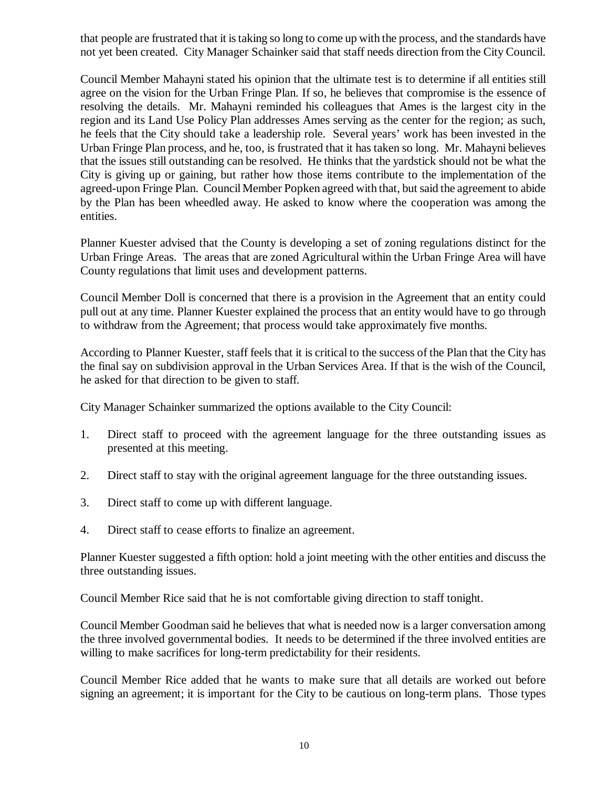that people are frustrated that it is taking so long to come up with the process, and the standards have not yet been created. City Manager Schainker said that staff needs direction from the City Council.

Council Member Mahayni stated his opinion that the ultimate test is to determine if all entities still agree on the vision for the Urban Fringe Plan. If so, he believes that compromise is the essence of resolving the details. Mr. Mahayni reminded his colleagues that Ames is the largest city in the region and its Land Use Policy Plan addresses Ames serving as the center for the region; as such, he feels that the City should take a leadership role. Several years' work has been invested in the Urban Fringe Plan process, and he, too, is frustrated that it has taken so long. Mr. Mahayni believes that the issues still outstanding can be resolved. He thinks that the yardstick should not be what the City is giving up or gaining, but rather how those items contribute to the implementation of the agreed-upon Fringe Plan. Council Member Popken agreed with that, but said the agreement to abide by the Plan has been wheedled away. He asked to know where the cooperation was among the entities.

Planner Kuester advised that the County is developing a set of zoning regulations distinct for the Urban Fringe Areas. The areas that are zoned Agricultural within the Urban Fringe Area will have County regulations that limit uses and development patterns.

Council Member Doll is concerned that there is a provision in the Agreement that an entity could pull out at any time. Planner Kuester explained the process that an entity would have to go through to withdraw from the Agreement; that process would take approximately five months.

According to Planner Kuester, staff feels that it is critical to the success of the Plan that the City has the final say on subdivision approval in the Urban Services Area. If that is the wish of the Council, he asked for that direction to be given to staff.

City Manager Schainker summarized the options available to the City Council:

- 1. Direct staff to proceed with the agreement language for the three outstanding issues as presented at this meeting.
- 2. Direct staff to stay with the original agreement language for the three outstanding issues.
- 3. Direct staff to come up with different language.
- 4. Direct staff to cease efforts to finalize an agreement.

Planner Kuester suggested a fifth option: hold a joint meeting with the other entities and discuss the three outstanding issues.

Council Member Rice said that he is not comfortable giving direction to staff tonight.

Council Member Goodman said he believes that what is needed now is a larger conversation among the three involved governmental bodies. It needs to be determined if the three involved entities are willing to make sacrifices for long-term predictability for their residents.

Council Member Rice added that he wants to make sure that all details are worked out before signing an agreement; it is important for the City to be cautious on long-term plans. Those types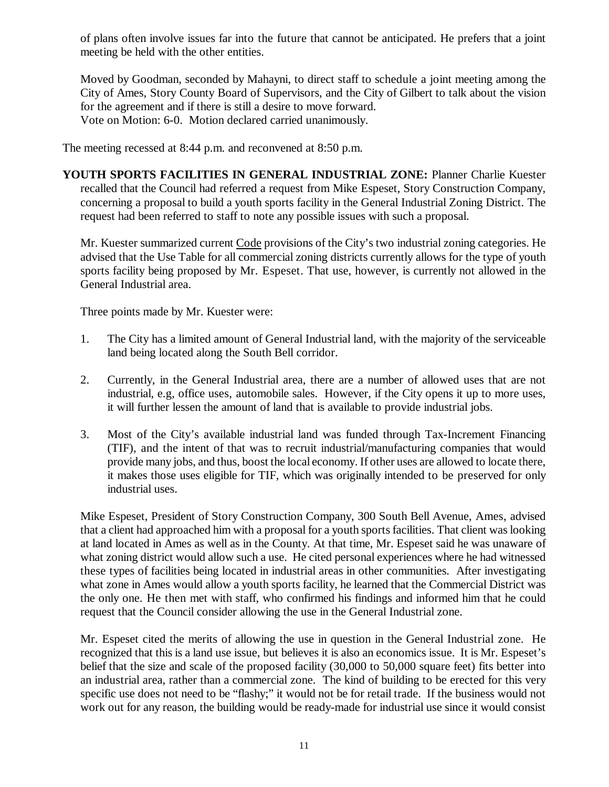of plans often involve issues far into the future that cannot be anticipated. He prefers that a joint meeting be held with the other entities.

Moved by Goodman, seconded by Mahayni, to direct staff to schedule a joint meeting among the City of Ames, Story County Board of Supervisors, and the City of Gilbert to talk about the vision for the agreement and if there is still a desire to move forward. Vote on Motion: 6-0. Motion declared carried unanimously.

The meeting recessed at 8:44 p.m. and reconvened at 8:50 p.m.

**YOUTH SPORTS FACILITIES IN GENERAL INDUSTRIAL ZONE:** Planner Charlie Kuester recalled that the Council had referred a request from Mike Espeset, Story Construction Company, concerning a proposal to build a youth sports facility in the General Industrial Zoning District. The request had been referred to staff to note any possible issues with such a proposal.

Mr. Kuester summarized current Code provisions of the City's two industrial zoning categories. He advised that the Use Table for all commercial zoning districts currently allows for the type of youth sports facility being proposed by Mr. Espeset. That use, however, is currently not allowed in the General Industrial area.

Three points made by Mr. Kuester were:

- 1. The City has a limited amount of General Industrial land, with the majority of the serviceable land being located along the South Bell corridor.
- 2. Currently, in the General Industrial area, there are a number of allowed uses that are not industrial, e.g, office uses, automobile sales. However, if the City opens it up to more uses, it will further lessen the amount of land that is available to provide industrial jobs.
- 3. Most of the City's available industrial land was funded through Tax-Increment Financing (TIF), and the intent of that was to recruit industrial/manufacturing companies that would provide many jobs, and thus, boost the local economy. If other uses are allowed to locate there, it makes those uses eligible for TIF, which was originally intended to be preserved for only industrial uses.

Mike Espeset, President of Story Construction Company, 300 South Bell Avenue, Ames, advised that a client had approached him with a proposal for a youth sports facilities. That client was looking at land located in Ames as well as in the County. At that time, Mr. Espeset said he was unaware of what zoning district would allow such a use. He cited personal experiences where he had witnessed these types of facilities being located in industrial areas in other communities. After investigating what zone in Ames would allow a youth sports facility, he learned that the Commercial District was the only one. He then met with staff, who confirmed his findings and informed him that he could request that the Council consider allowing the use in the General Industrial zone.

Mr. Espeset cited the merits of allowing the use in question in the General Industrial zone. He recognized that this is a land use issue, but believes it is also an economics issue. It is Mr. Espeset's belief that the size and scale of the proposed facility (30,000 to 50,000 square feet) fits better into an industrial area, rather than a commercial zone. The kind of building to be erected for this very specific use does not need to be "flashy;" it would not be for retail trade. If the business would not work out for any reason, the building would be ready-made for industrial use since it would consist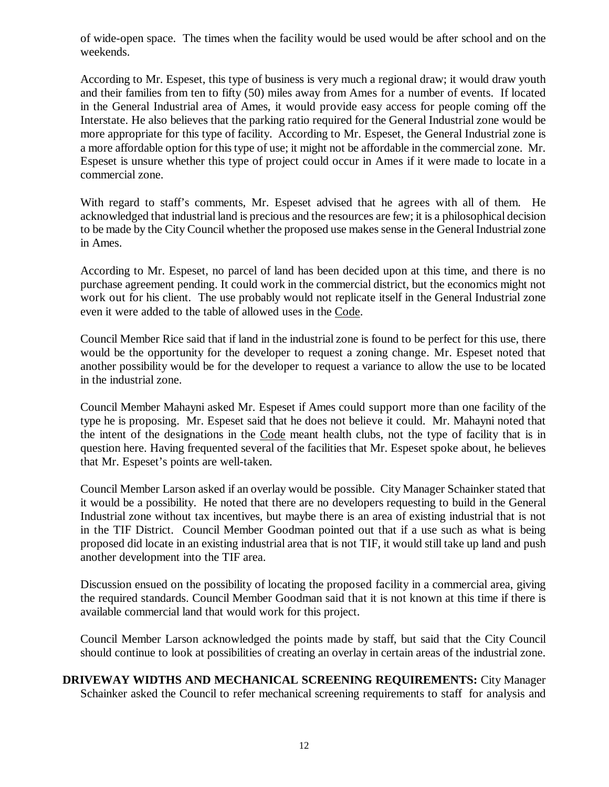of wide-open space. The times when the facility would be used would be after school and on the weekends.

According to Mr. Espeset, this type of business is very much a regional draw; it would draw youth and their families from ten to fifty (50) miles away from Ames for a number of events. If located in the General Industrial area of Ames, it would provide easy access for people coming off the Interstate. He also believes that the parking ratio required for the General Industrial zone would be more appropriate for this type of facility. According to Mr. Espeset, the General Industrial zone is a more affordable option for this type of use; it might not be affordable in the commercial zone. Mr. Espeset is unsure whether this type of project could occur in Ames if it were made to locate in a commercial zone.

With regard to staff's comments, Mr. Espeset advised that he agrees with all of them. He acknowledged that industrial land is precious and the resources are few; it is a philosophical decision to be made by the City Council whether the proposed use makes sense in the General Industrial zone in Ames.

According to Mr. Espeset, no parcel of land has been decided upon at this time, and there is no purchase agreement pending. It could work in the commercial district, but the economics might not work out for his client. The use probably would not replicate itself in the General Industrial zone even it were added to the table of allowed uses in the Code.

Council Member Rice said that if land in the industrial zone is found to be perfect for this use, there would be the opportunity for the developer to request a zoning change. Mr. Espeset noted that another possibility would be for the developer to request a variance to allow the use to be located in the industrial zone.

Council Member Mahayni asked Mr. Espeset if Ames could support more than one facility of the type he is proposing. Mr. Espeset said that he does not believe it could. Mr. Mahayni noted that the intent of the designations in the Code meant health clubs, not the type of facility that is in question here. Having frequented several of the facilities that Mr. Espeset spoke about, he believes that Mr. Espeset's points are well-taken.

Council Member Larson asked if an overlay would be possible. City Manager Schainker stated that it would be a possibility. He noted that there are no developers requesting to build in the General Industrial zone without tax incentives, but maybe there is an area of existing industrial that is not in the TIF District. Council Member Goodman pointed out that if a use such as what is being proposed did locate in an existing industrial area that is not TIF, it would still take up land and push another development into the TIF area.

Discussion ensued on the possibility of locating the proposed facility in a commercial area, giving the required standards. Council Member Goodman said that it is not known at this time if there is available commercial land that would work for this project.

Council Member Larson acknowledged the points made by staff, but said that the City Council should continue to look at possibilities of creating an overlay in certain areas of the industrial zone.

**DRIVEWAY WIDTHS AND MECHANICAL SCREENING REQUIREMENTS:** City Manager Schainker asked the Council to refer mechanical screening requirements to staff for analysis and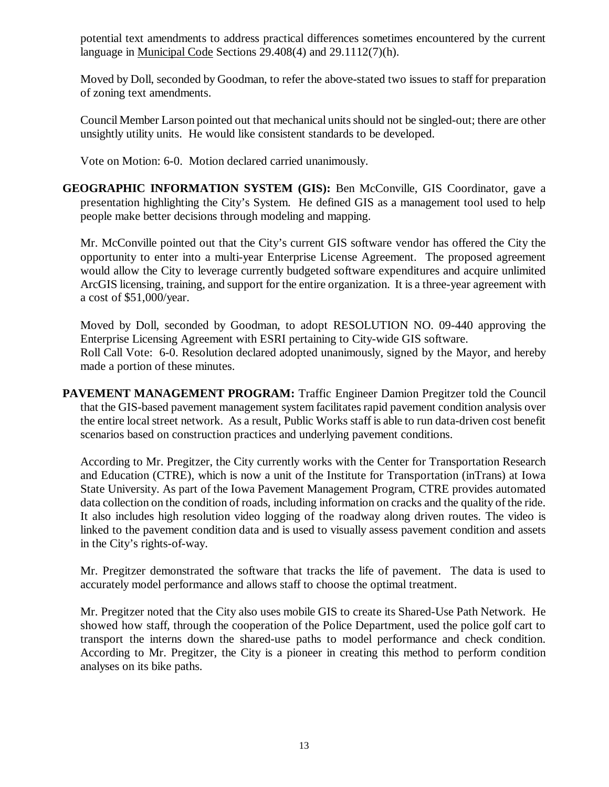potential text amendments to address practical differences sometimes encountered by the current language in Municipal Code Sections 29.408(4) and 29.1112(7)(h).

Moved by Doll, seconded by Goodman, to refer the above-stated two issues to staff for preparation of zoning text amendments.

Council Member Larson pointed out that mechanical units should not be singled-out; there are other unsightly utility units. He would like consistent standards to be developed.

Vote on Motion: 6-0. Motion declared carried unanimously.

**GEOGRAPHIC INFORMATION SYSTEM (GIS):** Ben McConville, GIS Coordinator, gave a presentation highlighting the City's System. He defined GIS as a management tool used to help people make better decisions through modeling and mapping.

Mr. McConville pointed out that the City's current GIS software vendor has offered the City the opportunity to enter into a multi-year Enterprise License Agreement. The proposed agreement would allow the City to leverage currently budgeted software expenditures and acquire unlimited ArcGIS licensing, training, and support for the entire organization. It is a three-year agreement with a cost of \$51,000/year.

Moved by Doll, seconded by Goodman, to adopt RESOLUTION NO. 09-440 approving the Enterprise Licensing Agreement with ESRI pertaining to City-wide GIS software. Roll Call Vote: 6-0. Resolution declared adopted unanimously, signed by the Mayor, and hereby made a portion of these minutes.

**PAVEMENT MANAGEMENT PROGRAM:** Traffic Engineer Damion Pregitzer told the Council that the GIS-based pavement management system facilitates rapid pavement condition analysis over the entire local street network. As a result, Public Works staff is able to run data-driven cost benefit scenarios based on construction practices and underlying pavement conditions.

According to Mr. Pregitzer, the City currently works with the Center for Transportation Research and Education (CTRE), which is now a unit of the Institute for Transportation (inTrans) at Iowa State University. As part of the Iowa Pavement Management Program, CTRE provides automated data collection on the condition of roads, including information on cracks and the quality of the ride. It also includes high resolution video logging of the roadway along driven routes. The video is linked to the pavement condition data and is used to visually assess pavement condition and assets in the City's rights-of-way.

Mr. Pregitzer demonstrated the software that tracks the life of pavement. The data is used to accurately model performance and allows staff to choose the optimal treatment.

Mr. Pregitzer noted that the City also uses mobile GIS to create its Shared-Use Path Network. He showed how staff, through the cooperation of the Police Department, used the police golf cart to transport the interns down the shared-use paths to model performance and check condition. According to Mr. Pregitzer, the City is a pioneer in creating this method to perform condition analyses on its bike paths.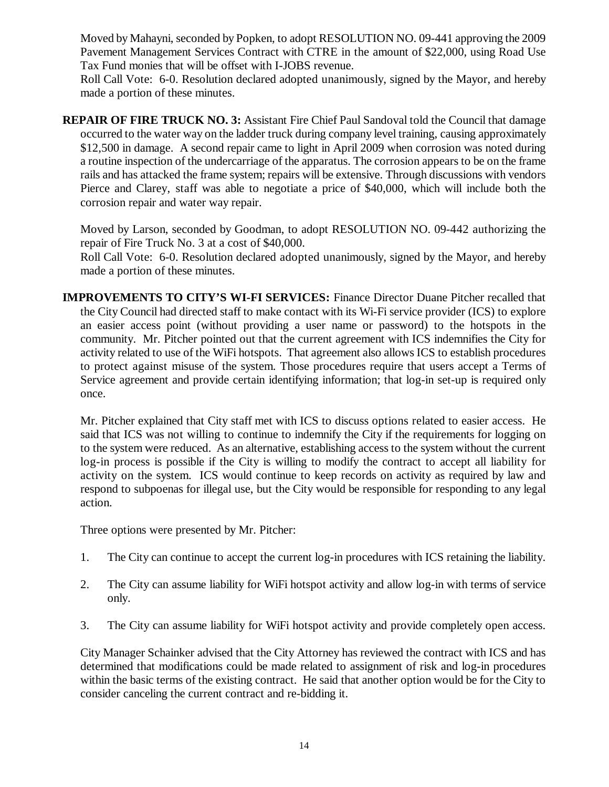Moved by Mahayni, seconded by Popken, to adopt RESOLUTION NO. 09-441 approving the 2009 Pavement Management Services Contract with CTRE in the amount of \$22,000, using Road Use Tax Fund monies that will be offset with I-JOBS revenue.

Roll Call Vote: 6-0. Resolution declared adopted unanimously, signed by the Mayor, and hereby made a portion of these minutes.

**REPAIR OF FIRE TRUCK NO. 3:** Assistant Fire Chief Paul Sandoval told the Council that damage occurred to the water way on the ladder truck during company level training, causing approximately \$12,500 in damage. A second repair came to light in April 2009 when corrosion was noted during a routine inspection of the undercarriage of the apparatus. The corrosion appears to be on the frame rails and has attacked the frame system; repairs will be extensive. Through discussions with vendors Pierce and Clarey, staff was able to negotiate a price of \$40,000, which will include both the corrosion repair and water way repair.

Moved by Larson, seconded by Goodman, to adopt RESOLUTION NO. 09-442 authorizing the repair of Fire Truck No. 3 at a cost of \$40,000.

Roll Call Vote: 6-0. Resolution declared adopted unanimously, signed by the Mayor, and hereby made a portion of these minutes.

**IMPROVEMENTS TO CITY'S WI-FI SERVICES:** Finance Director Duane Pitcher recalled that the City Council had directed staff to make contact with its Wi-Fi service provider (ICS) to explore an easier access point (without providing a user name or password) to the hotspots in the community. Mr. Pitcher pointed out that the current agreement with ICS indemnifies the City for activity related to use of the WiFi hotspots. That agreement also allows ICS to establish procedures to protect against misuse of the system. Those procedures require that users accept a Terms of Service agreement and provide certain identifying information; that log-in set-up is required only once.

Mr. Pitcher explained that City staff met with ICS to discuss options related to easier access. He said that ICS was not willing to continue to indemnify the City if the requirements for logging on to the system were reduced. As an alternative, establishing access to the system without the current log-in process is possible if the City is willing to modify the contract to accept all liability for activity on the system. ICS would continue to keep records on activity as required by law and respond to subpoenas for illegal use, but the City would be responsible for responding to any legal action.

Three options were presented by Mr. Pitcher:

- 1. The City can continue to accept the current log-in procedures with ICS retaining the liability.
- 2. The City can assume liability for WiFi hotspot activity and allow log-in with terms of service only.
- 3. The City can assume liability for WiFi hotspot activity and provide completely open access.

City Manager Schainker advised that the City Attorney has reviewed the contract with ICS and has determined that modifications could be made related to assignment of risk and log-in procedures within the basic terms of the existing contract. He said that another option would be for the City to consider canceling the current contract and re-bidding it.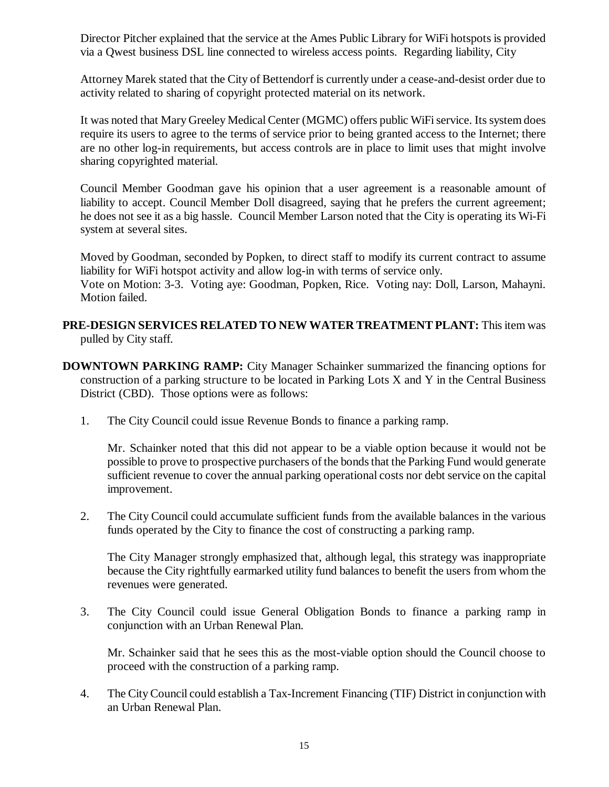Director Pitcher explained that the service at the Ames Public Library for WiFi hotspots is provided via a Qwest business DSL line connected to wireless access points. Regarding liability, City

Attorney Marek stated that the City of Bettendorf is currently under a cease-and-desist order due to activity related to sharing of copyright protected material on its network.

It was noted that Mary Greeley Medical Center (MGMC) offers public WiFi service. Its system does require its users to agree to the terms of service prior to being granted access to the Internet; there are no other log-in requirements, but access controls are in place to limit uses that might involve sharing copyrighted material.

Council Member Goodman gave his opinion that a user agreement is a reasonable amount of liability to accept. Council Member Doll disagreed, saying that he prefers the current agreement; he does not see it as a big hassle. Council Member Larson noted that the City is operating its Wi-Fi system at several sites.

Moved by Goodman, seconded by Popken, to direct staff to modify its current contract to assume liability for WiFi hotspot activity and allow log-in with terms of service only.

Vote on Motion: 3-3. Voting aye: Goodman, Popken, Rice. Voting nay: Doll, Larson, Mahayni. Motion failed.

- **PRE-DESIGN SERVICES RELATED TO NEW WATER TREATMENT PLANT:** This item was pulled by City staff.
- **DOWNTOWN PARKING RAMP:** City Manager Schainker summarized the financing options for construction of a parking structure to be located in Parking Lots X and Y in the Central Business District (CBD). Those options were as follows:
	- 1. The City Council could issue Revenue Bonds to finance a parking ramp.

Mr. Schainker noted that this did not appear to be a viable option because it would not be possible to prove to prospective purchasers of the bonds that the Parking Fund would generate sufficient revenue to cover the annual parking operational costs nor debt service on the capital improvement.

2. The City Council could accumulate sufficient funds from the available balances in the various funds operated by the City to finance the cost of constructing a parking ramp.

The City Manager strongly emphasized that, although legal, this strategy was inappropriate because the City rightfully earmarked utility fund balances to benefit the users from whom the revenues were generated.

3. The City Council could issue General Obligation Bonds to finance a parking ramp in conjunction with an Urban Renewal Plan.

Mr. Schainker said that he sees this as the most-viable option should the Council choose to proceed with the construction of a parking ramp.

4. The City Council could establish a Tax-Increment Financing (TIF) District in conjunction with an Urban Renewal Plan.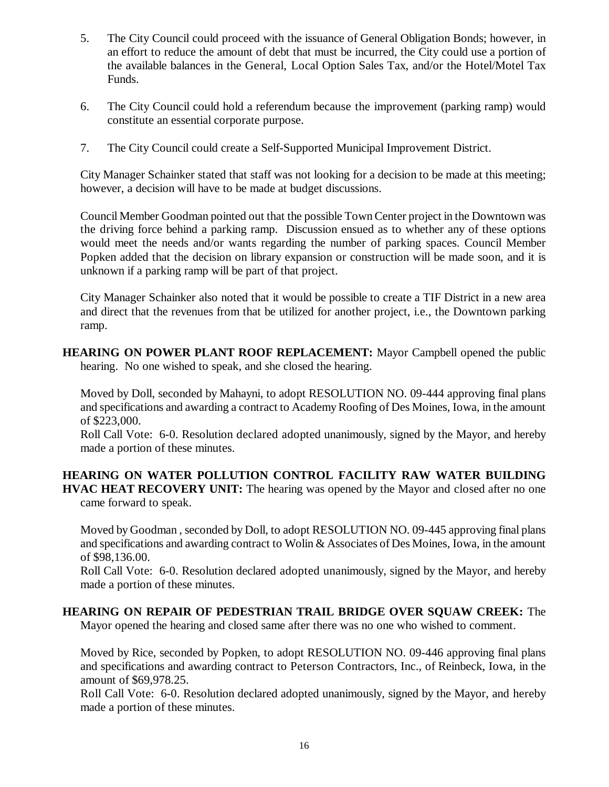- 5. The City Council could proceed with the issuance of General Obligation Bonds; however, in an effort to reduce the amount of debt that must be incurred, the City could use a portion of the available balances in the General, Local Option Sales Tax, and/or the Hotel/Motel Tax Funds.
- 6. The City Council could hold a referendum because the improvement (parking ramp) would constitute an essential corporate purpose.
- 7. The City Council could create a Self-Supported Municipal Improvement District.

City Manager Schainker stated that staff was not looking for a decision to be made at this meeting; however, a decision will have to be made at budget discussions.

Council Member Goodman pointed out that the possible Town Center project in the Downtown was the driving force behind a parking ramp. Discussion ensued as to whether any of these options would meet the needs and/or wants regarding the number of parking spaces. Council Member Popken added that the decision on library expansion or construction will be made soon, and it is unknown if a parking ramp will be part of that project.

City Manager Schainker also noted that it would be possible to create a TIF District in a new area and direct that the revenues from that be utilized for another project, i.e., the Downtown parking ramp.

**HEARING ON POWER PLANT ROOF REPLACEMENT:** Mayor Campbell opened the public hearing. No one wished to speak, and she closed the hearing.

Moved by Doll, seconded by Mahayni, to adopt RESOLUTION NO. 09-444 approving final plans and specifications and awarding a contract to Academy Roofing of Des Moines, Iowa, in the amount of \$223,000.

Roll Call Vote: 6-0. Resolution declared adopted unanimously, signed by the Mayor, and hereby made a portion of these minutes.

**HEARING ON WATER POLLUTION CONTROL FACILITY RAW WATER BUILDING HVAC HEAT RECOVERY UNIT:** The hearing was opened by the Mayor and closed after no one came forward to speak.

Moved by Goodman , seconded by Doll, to adopt RESOLUTION NO. 09-445 approving final plans and specifications and awarding contract to Wolin & Associates of Des Moines, Iowa, in the amount of \$98,136.00.

Roll Call Vote: 6-0. Resolution declared adopted unanimously, signed by the Mayor, and hereby made a portion of these minutes.

# **HEARING ON REPAIR OF PEDESTRIAN TRAIL BRIDGE OVER SQUAW CREEK:** The

Mayor opened the hearing and closed same after there was no one who wished to comment.

Moved by Rice, seconded by Popken, to adopt RESOLUTION NO. 09-446 approving final plans and specifications and awarding contract to Peterson Contractors, Inc., of Reinbeck, Iowa, in the amount of \$69,978.25.

Roll Call Vote: 6-0. Resolution declared adopted unanimously, signed by the Mayor, and hereby made a portion of these minutes.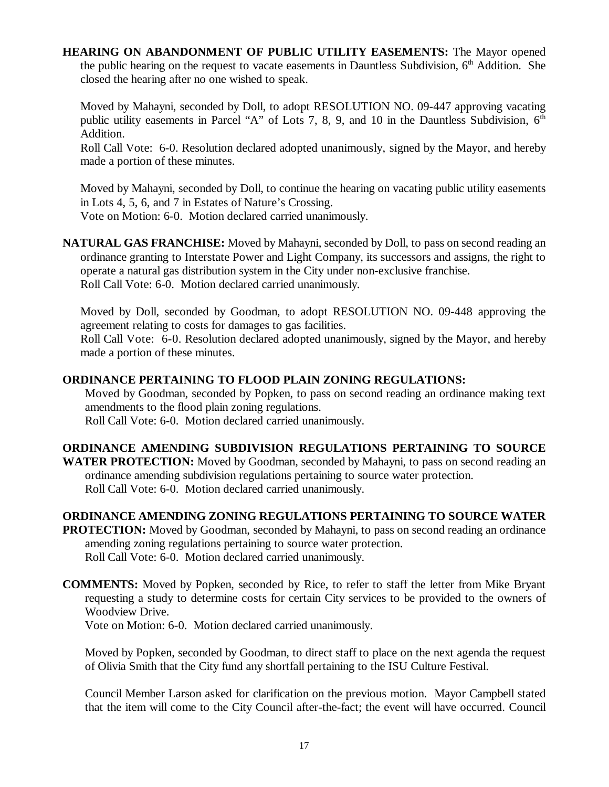## **HEARING ON ABANDONMENT OF PUBLIC UTILITY EASEMENTS:** The Mayor opened the public hearing on the request to vacate easements in Dauntless Subdivision,  $6<sup>th</sup>$  Addition. She closed the hearing after no one wished to speak.

Moved by Mahayni, seconded by Doll, to adopt RESOLUTION NO. 09-447 approving vacating public utility easements in Parcel "A" of Lots 7, 8, 9, and 10 in the Dauntless Subdivision,  $6<sup>th</sup>$ Addition.

Roll Call Vote: 6-0. Resolution declared adopted unanimously, signed by the Mayor, and hereby made a portion of these minutes.

Moved by Mahayni, seconded by Doll, to continue the hearing on vacating public utility easements in Lots 4, 5, 6, and 7 in Estates of Nature's Crossing. Vote on Motion: 6-0. Motion declared carried unanimously.

**NATURAL GAS FRANCHISE:** Moved by Mahayni, seconded by Doll, to pass on second reading an ordinance granting to Interstate Power and Light Company, its successors and assigns, the right to operate a natural gas distribution system in the City under non-exclusive franchise. Roll Call Vote: 6-0. Motion declared carried unanimously.

Moved by Doll, seconded by Goodman, to adopt RESOLUTION NO. 09-448 approving the agreement relating to costs for damages to gas facilities.

Roll Call Vote: 6-0. Resolution declared adopted unanimously, signed by the Mayor, and hereby made a portion of these minutes.

## **ORDINANCE PERTAINING TO FLOOD PLAIN ZONING REGULATIONS:**

Moved by Goodman, seconded by Popken, to pass on second reading an ordinance making text amendments to the flood plain zoning regulations. Roll Call Vote: 6-0. Motion declared carried unanimously.

# **ORDINANCE AMENDING SUBDIVISION REGULATIONS PERTAINING TO SOURCE**

**WATER PROTECTION:** Moved by Goodman, seconded by Mahayni, to pass on second reading an ordinance amending subdivision regulations pertaining to source water protection. Roll Call Vote: 6-0. Motion declared carried unanimously.

# **ORDINANCE AMENDING ZONING REGULATIONS PERTAINING TO SOURCE WATER**

**PROTECTION:** Moved by Goodman, seconded by Mahayni, to pass on second reading an ordinance amending zoning regulations pertaining to source water protection. Roll Call Vote: 6-0. Motion declared carried unanimously.

**COMMENTS:** Moved by Popken, seconded by Rice, to refer to staff the letter from Mike Bryant requesting a study to determine costs for certain City services to be provided to the owners of Woodview Drive.

Vote on Motion: 6-0. Motion declared carried unanimously.

Moved by Popken, seconded by Goodman, to direct staff to place on the next agenda the request of Olivia Smith that the City fund any shortfall pertaining to the ISU Culture Festival.

Council Member Larson asked for clarification on the previous motion. Mayor Campbell stated that the item will come to the City Council after-the-fact; the event will have occurred. Council